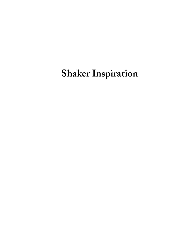# **Shaker Inspiration**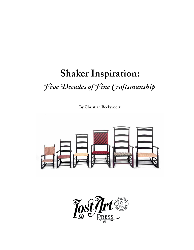## **Shaker Inspiration:** *Five Decades of Fine Craftsmanship*

**By Christian Becksvoort**



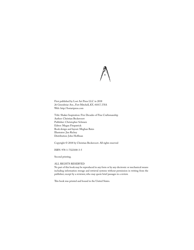

First published by Lost Art Press LLC in 2018 26 Greenbriar Ave., Fort Mitchell, KY, 41017, USA Web: http://lostartpress.com

Title: Shaker Inspiration: Five Decades of Fine Craftsmanship Author: Christian Becksvoort Publisher: Christopher Schwarz Editor: Megan Fitzpatrick Book design and layout: Meghan Bates Illustrator: Jim Richey Distribution: John Hoffman

Copyright © 2018 by Christian Becksvoort. All rights reserved

ISBN: 978-1-7322100-3-5

Second printing.

#### ALL RIGHTS RESERVED

No part of this book may be reproduced in any form or by any electronic or mechanical means including information storage and retrieval systems without permission in writing from the publisher; except by a reviewer, who may quote brief passages in a review.

This book was printed and bound in the United States.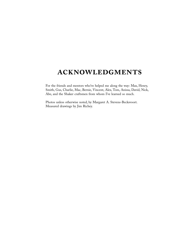### **Acknowledgments**

For the friends and mentors who've helped me along the way: Max, Henry, Smith, Gus, Charlie, Mac, Bernie, Vincent, Alex, Tom, Anissa, David, Nick, Abe, and the Shaker craftsmen from whom I've learned so much.

Photos unless otherwise noted, by Margaret A. Stevens-Becksvoort. Measured drawings by Jim Richey.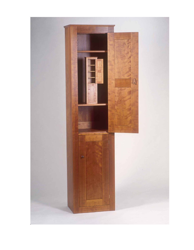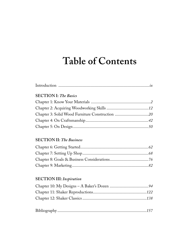### **Table of Contents**

| <b>SECTION I: The Basics</b> |  |
|------------------------------|--|
|                              |  |
|                              |  |
|                              |  |
|                              |  |
|                              |  |

### **SECTION II:** *The Business*

### **SECTION III:** *Inspiration*

|--|--|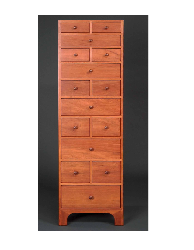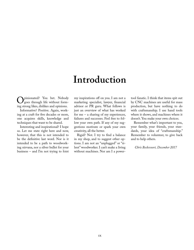### **Introduction**

Opinionated? You bet. Nobody<br>goes through life without form-<br>ing strong likes dislikes and opinions ing strong likes, dislikes and opinions.

Informative? Positive. Again, working at a craft for five decades or more, one acquires skills, knowledge and techniques that want to be shared.

Interesting and inspirational? I hope so. Let me state right here and now, however, that this is not intended to be the definitive last word. Nor is it intended to be a path to woodworking nirvana, nor a silver bullet for your business – and I'm not trying to foist

my inspirations off on you. I am not a marketing specialist, lawyer, financial advisor or PR guru. What follows is just an overview of what has worked for  $me - a$  sharing of my experiences, failures and successes. Feel free to follow your own path. If any of my suggestions motivate or spark your own creativity, all the better.

Rigid? Not. I try to find a balance in my shop, and to suggest other options. I am not an "unplugged" or "silent" woodworker. I can't make a living without machines. Nor am I a power-

tool fanatic. I think that items spit out by CNC machines are useful for mass production, but have nothing to do with craftsmanship. I use hand tools where it shows, and machines where it doesn't. You make your own choices.

Remember what's important to you, your family, your friends, your standards, your idea of "craftsmanship." Remember to volunteer, to give back and to help others.

*Chris Becksvoort, December 2017*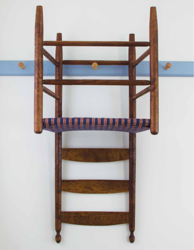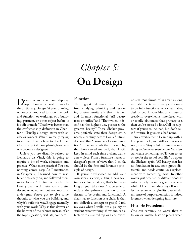# *Chapter 5:*  **On Design**

Sesign is an even more slippery<br>topic than craftsmanship. Back to<br>the dictionary Design: "A plan drawing" the dictionary. Design: "A plan, drawing or concept produced to show the look and function, or workings, of a building, garment, or other object before it is built or made." That's way better than the craftsmanship definition in Chapter 4. Usually, a design starts with an idea or concept. What I'm really trying to uncover here is how to develop an idea, or to put it more plainly, how does one become a designer?

Unless you are distantly related to Leonardo da Vinci, this is going to require a bit of work, education and practice. What, more practice? You bet; nothing comes easy. As I mentioned in Chapter 2, I learned how to read blueprints early on, and followed them meticulously. A lifetime of merely following plans will make you a pretty decent woodworker, but not much of a designer. You've got to give some thought to what you are building, and why it's built this way. Engage mentally with your work. Why is this drawer at the bottom of the cabinet instead of at the top? Question, evaluate, compare.

#### **Function**

The biggest takeaway I've learned from studying, admiring and restoring Shaker furniture is that it is first and foremost functional. "All beauty rests on utility" and "That which in itself has the highest use, possesses the greatest beauty." These Shaker proverbs perfectly state their design ethic, nearly a century before Louis Sullivan declared that "Form ever follows function." These are words that I design by, that have served me well, that I still keep in mind each time a client wants a new piece. From a furniture maker or designer's point of view, that, I think, should be the first and foremost principle of design.

If you're predisposed to add your own ideas, a curve, a flair, a new texture or color, whatever, that's fine – as long as your take doesn't supersede or replace the primary function of the design: to be useful and functional. A chair has to function as a chair. Is that too difficult a concept to grasp? I roll my eyes when I walk into a gallery or student woodworking show and see a table with a slanted top, or a chair with

no seat. "Art furniture" is great, as long as it still meets its primary criterion – to be fully functional as a chair, table, desk or bed. If your idea of whimsy or creativity overwhelms, interferes with or totally obliterates that primary use, then you've crossed a line. Call it sculpture if you're so inclined, but don't call it furniture. It gives us a bad name.

An advertisement I came up with a few years back, and still use on occasion, reads, "Any artist can make something you've never seen before. Very few can create something you'll want to see or use for the rest of your life." To quote the Shakers again, "All beauty that has no foundation in use, soon grows distasteful and needs continuous replacement with something new." In other words, just because it's different doesn't automatically mean it's good or worthwhile. I keep reminding myself not to let my sense of originality overwhelm my sense of purpose. Function is indeed foremost when designing furniture.

#### **Historic Precedents**

One can certainly do worse than to follow or imitate historic pieces when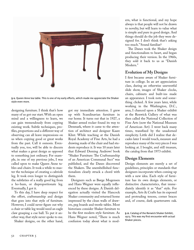

**5-1.** Queen Anne tea table. This is one of my early efforts, which made me appreciate the Shaker style even more.

designing furniture. I think that's how many of us got our start. With an open mind and a willingness to learn, we can gain tremendously from copying existing work. Subtle techniques, profiles, proportions and a different way of observing can all leave impressions on us when copying good or great works from the past. Call it osmosis. Eventually you, too, will be able to discern what makes a great design as opposed to something just ordinary. For example, in one of my previous jobs, I was called upon to make Queen Anne tables and chairs. It took a while to master the technique of creating a cabriole leg. It took even longer to distinguish the subtleties of a really good leg from a ho-hum, or disproportionate leg. Eventually, I got it.

To this day, I have deep respect for the effort, craftsmanship and design that goes into that style of furniture. However, I could never figure out why a chair or table leg would need an eagle claw grasping a cue ball. To put it another way, that style never spoke to me.

Shaker designs, on the other hand,

got my immediate attention. I grew up with Scandinavian furniture in our home. It turns out that in 1927, a Shaker armed rocker found its way to Denmark, where it came to the attention of architect and designer Kaare Klint. While teaching at the Danish Royal Academy of Fine Arts, he had a drawing made of the chair and had students reproduce it. It was 10 years later that Edward Deming Andrews' book "Shaker Furniture: The Craftsmanship of an American Communal Sect" was published, and the Danes discovered the Shakers. The unembellished functionalism clearly struck a chord with them.

Designers such as Børge Mogensen and Hans Wegner were equally influenced by these designs. A Danish delegation actually visited the Hancock Shaker community and returned home impressed by the clean walls of drawers, peg boards and trestle tables. Most historians consider Shaker furniture to be the first modern style furniture. As Hans Wegner noted, "There is much confusion today about what is modern, what is functional, and my hope always is that people will not be drawn to novelty, but will learn to value what is simple and pure in good design. And things should do the job they were designed for. I don't think that's asking too much." Sound familiar?

The Danes took the Shaker design and functionalism to heart, and began producing their version. In the 1960s, they sold it back to us as "Danish Modern."

#### **Evolution of My Designs**

I first became aware of Shaker furniture in college. In an art appreciation class, during an otherwise uneventful slide show, images of Shaker clocks, chairs, cabinets and built-ins made an appearance. I took note and something clicked. A few years later, while working in the Washington, D.C., area, I chanced upon a Shaker exhibit at the Renwick Gallery of what was then called the National Collection of Fine Arts (now the National Museum of American Art). I went back many times, transfixed by the unadorned simplicity. Little did I realize that decades later I would touch, measure and reproduce many of the very pieces I was looking at. I bought, and still treasure, the catalog from that 1973 exhibit.

#### **Design Elements**

Design elements are merely a set of guidelines, principles or standards that designers incorporate when coming up with a new idea. Each style of furniture has its own design elements, or distinctive characteristics, that immediately identify it as "that" style. For example, Arts & Crafts has its exposed and protruding tenons, corner braces and, of course, dark quartersawn oak.

**<sup>5-2.</sup>** Catalog of the Renwick Shaker Exhibit, 1973. This was my first encounter with actual Shaker pieces.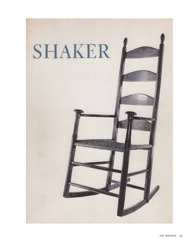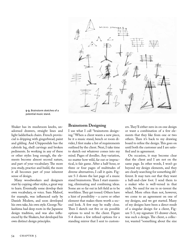

**5-3.** Brainstorm sketches of a potential music stand.

Shaker has its mushroom knobs, unadorned drawers, straight lines and light ladderback chairs. French provincial is dripping with gingerbread, paint and gilding. And Chippendale has the cabriole leg, shell carvings and broken pediments. In working in any of these or other styles long enough, the elements become almost second nature, and part of your vocabulary. The more you study, practice and build, the more it all becomes part of your inherent sense of design.

Many woodworkers and designers start by copying other styles, a great way to learn. Eventually some develop their own vocabulary, or voice. Sam Maloof, for example, was influenced early by Danish Modern, and soon developed his own take, his own style. George Nakashima had deep roots in the Japanese design tradition, and was also influenced by the Shakers, but developed his own distinct design principles.

#### **Brainstorm Designing**

I use what I call "brainstorm designing." When a client wants a new piece, be it a music stand, bench or room divider, I first make a list of requirements outlined by the client. Next, I take time to sketch out whatever comes into my mind. Pages of doodles. Any variation, no matter how wild, far out or impractical, is fair game. After a half-hour, or three or four pages of multitudes of diverse alternatives, I call it quits. Figure 5-3 shows the last page of a music stand brainstorm. Then I start examining, eliminating and combining ideas. Some are so far out in left field as to be worthless. They get tossed. Others have a hint of possibility – a curve or other element that makes them worth a second look. A few may be really close. Then I sketch out five or six possible options to send to the client. Figure 5-4 shows a few refined options for a standing mirror that I sent to customers. They'll either zero in on one design or want a combination of a few elements that they like from one or two others. Then it's back to my drawing board to refine the design. This goes on until both the customer and I are satisfied and in agreement.

On occasion, it may become clear that the client and I are not on the same page. In other words, I won't go beyond my design elements, and they are clearly searching for something different. It may turn out that they want a ball-and-claw foot. I send them to a maker who is well-versed in that style. No need for me to re-invent the wheel. More often than not, however, we come to an agreement on one of my designs, and we get started. Many of my designs have been a direct result of a singular design for a client, Figure 5-5, my signature 15-drawer chest, was such a design. The client, a collector, wanted "something about the size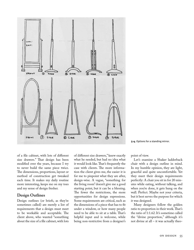

**5-4.** Options for a standing mirror.

of a file cabinet, with lots of different size drawers." That design has been modified over the years, because I try to never build the same piece twice. The dimensions, proportions, layout or method of construction get tweaked each time. It makes my daily routine more interesting, keeps me on my toes and my sense of design fresher.

#### **Design Outlines**

Design outlines (or briefs, as they're sometimes called) are merely a list of requirements that a design must meet to be workable and acceptable. The client above, who wanted "something about the size of a file cabinet, with lots

of different size drawers," knew exactly what he needed, but had no idea what it would look like. That's frequently the case with clients. The more information the client gives me, the easier it is for me to pinpoint what they are after, design-wise. A vague, "something for the living room" doesn't give me a good starting point, but it can be a blessing. The fewer the restrictions, the more opportunities for design expressions. Some requirements are critical, such as the dimensions of a piece that has to fit under a window, or how many people need to be able to sit at a table. That's helpful input and is welcome, while being non-restrictive from a designer's point of view.

Let's examine a Shaker ladderback chair with a design outline in mind. In my humble opinion, they are light, graceful and quite uncomfortable. Yet they meet their design requirements perfectly: A chair you sit in for 20 minutes while eating, without talking, and when you're done, it gets hung on the wall. Perfect. Maybe not your criteria, but it best serves the purpose for which it was designed.

Many designers follow the golden ratio to proportion in their work. That's the ratio of 1:1.62. It's sometime called the "divine proportion," although it's not divine at all – it was actually theo-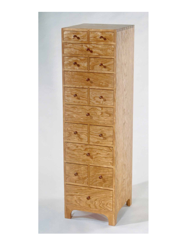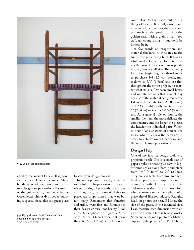

**5-6.** Shaker ladderback chair.

rized by the ancient Greeks. It is, however, a very pleasing rectangle. Many buildings, windows, frames and furniture designs are proportioned by means of the golden ratio, also know by the Greek letter phi, or Φ. If you're building a special piece, this is a great place

**5-5.** My 15-drawer chest. This piece has become my signature design. DENNIS GRIGGS PHOTO.

to start your design process.

In my opinion, though, a whole room full of phi-proportioned cases is wicked boring. Apparently the Shakers thought so, too. Some of their case pieces are proportioned that way, but not many. Remember that function and utility were first and foremost in their design criteria, not beauty. Look at the tall cupboard in Figure 5-7; it's only 18-1/2" (47cm) wide, but more than 6-1/2' (1.98m) tall. It doesn't

come close to that ratio, but it is a thing of beauty. It is tall, austere and extremely functional for the space and purpose it was designed for. So take the golden ratio with a grain of salt. You can't go wrong using it, but don't be limited by it.

A few words on proportion, and material thickness as it relates to the size of the piece being built. It takes a while to develop an eye for determining the correct thickness to incorporate into a given overall size. The tendency for most beginning woodworkers is to purchase 4/4 (2.54cm) stock, mill it down to 3/4" (1.9cm) and use that throughout the entire project, no matter what its size. I've seen small boxes and minute cabinets that look clunky because of the material being too heavy. Likewise, large tabletops. An 8' (2.4m) or 10' (3m) table really wants to have 1" (2.54cm) or even a 1-1/4" (3.2cm) top. As a general rule of thumb, the smaller the item, the more delicate the components, and the larger the pieces, the heavier the individual parts. When in doubt, look at items of similar size to see what thickness the parts are, in order to achieve overall harmony and the most pleasing proportions.

#### **Design Help**

One of my favorite design tools is a proportion scale. This is a small pair of paper or plastic rotating discs, with logarithmic scales along both perimeters, from 1/4" (6.4mm) to 90" (2.28m). They are available from any architectural supply or artist supply store, or online, in both U.S. customary units and metric scales. I use it most often when someone sends me a photo of a piece they'd like reproduced. Straight, head-on photos are best. If I know the size of the piece, or the intended size, I can measure each dimension with an architect's scale. Here is how it works. Someone sends me a photo of a Shaker cupboard; the piece is 6-3/4" (17.1cm)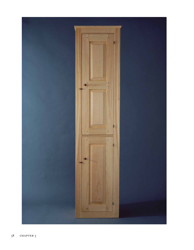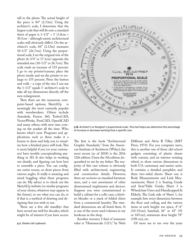tall in the photo. The actual height of the piece is 84" (2.13m). Using the architect's scale, I determine that the largest scale that will fit onto a standard sheet of paper is  $1 - 1/2" = 1' (3.8cm)$ 30.5cm – although metric architectural scales will obviously differ). On the architect's scale, 84" (2.13m) measures 10-1/2" (26.7cm). Using the proportional scale, I set the original size of the photo (6-3/4" or 17.1cm) opposite the intended size (10-1/2" or 26.7cm). The scale reads an increase of 155 percent. I go to my printer/scanner, place the photo inside and set the printer to enlarge to 155 percent. Press the button and voilà – a copy of the size I can use the 1-1/2" equals 1' architect's scale to take all my dimensions directly off the new enlargement.

Then there are the numerous computer-based options; SketchUp seemingly the most currently popular with woodworkers. Others include Autodesk, Fusion 360, TurboCAD, VectorWorks, FreeCAD, OpenSCAD and many others, with new ones coming on the market all the time. Who knows what's next. Programs and applications such as these make it a breeze to draw and help you to visualize how a finished piece will look. This is most helpful if you (or your customers) have trouble conceptualizing anything in 3D. It also helps in working out details, and figuring out how best to assemble a piece. You can configure entire rooms, or show pieces from various angles. It really is amazing and mind boggling what these programs can do. My advice is to check out the SketchUp website (or similar programs of your choice, whatever may appear in the future), to see what you can do, or if that is a method of drawing and designing that you wish to use.

There are a few old standbys that have served me well for decades, which might be of interest if you have access.

#### **5-7.** Shaker tall cupboard.



**5-8.** Architect's or Designer's proportional scale. This tool helps you determine the percentage of increase or decrease working from a specific size.

The first is the book "Architectural Graphic Standards," from the American Institute of Architects (Wiley); the most recent (as of 2018) is the 2016 12th edition. I have the 5th edition, bequeathed to me by my father. The majority of this vast volume is obviously filled with architectural, engineering and construction details. However, there are sections on standard furniture sizes, and a vast assortment of other dimensioned implements and devices. Suppose you were commissioned to build a cabinet for a cello case, a kitchen blender or a stack of folded shirts from a commercial laundry. The standard dimensions are all listed there. It is one of the most-used volumes in my bookcase in the shop.

Another resource I find of immense value is "Humanscale 1/2/3," by Niels

Diffrient and Alvin R Tilley (MIT Press, 1974). For you computer users, this is another one of those old-school gadgets consisting of plastic sheets with cutouts, and an interior rotating wheel, to show various dimensions in both U.S. customary and metric units. It contains a detailed pamphlet, and three two-sided sheets. Sheet one is Body Measurements and Link Measurements; Sheet 2 is Seating Guide and Seat/Table Guide; Sheet 3 is Wheelchair Users and Handicapped & Elderly. The Link side of Sheet 1, for example lists every dimension between the floor and ceiling, and the various items at each height: toe space, 4"-6" (10-15cm); handrail, 36" or 42" (91 or 107cm); minimum door height 78" (198 cm), etc.

Of most use to me over the years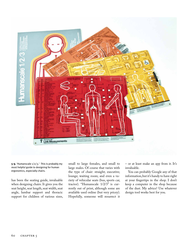

**5-9.** 'Humanscale 1/2/3.' This is probably my most helpful guide to designing for human ergonomics, especially chairs.

has been the seating guide, invaluable when designing chairs. It gives you the seat height, seat length, seat width, seat angle, lumbar support and thoracic support for children of various sizes, small to large females, and small to large males. Of course that varies with the type of chair: straight; executive; lounge; waiting room; and even a variety of vehicular seats (bus, sports car, tractor). "Humanscale 1/2/3" is currently out of print, although some are available used online (but very pricey). Hopefully, someone will resurrect it

– or at least make an app from it. It's invaluable.

You can probably Google any of that information, but it's handy to have right at your fingertips in the shop. I don't keep a computer in the shop because of the dust. My advice? Use whatever design tool works best for you.